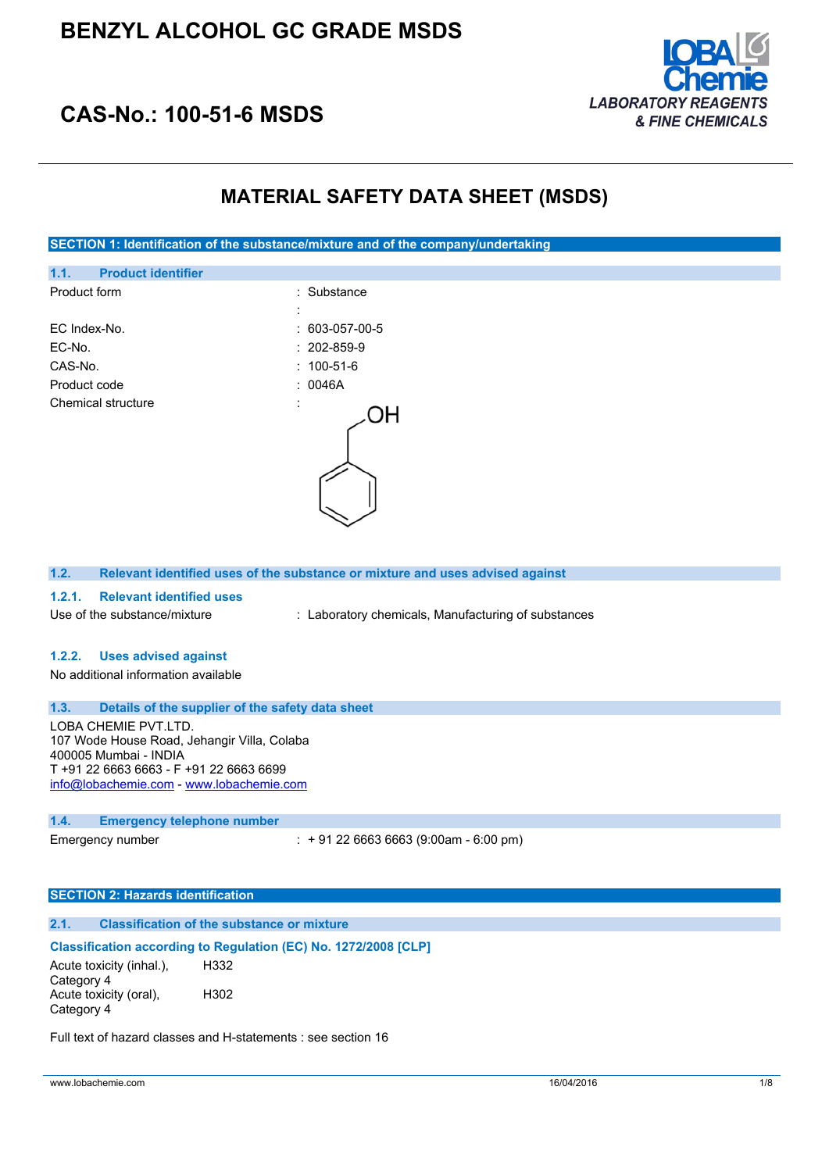

# **CAS-No.: 100-51-6 MSDS**

# **MATERIAL SAFETY DATA SHEET (MSDS)**

### **SECTION 1: Identification of the substance/mixture and of the company/undertaking**

| 1.1.         | <b>Product identifier</b> |                     |                        |
|--------------|---------------------------|---------------------|------------------------|
| Product form |                           |                     | : Substance            |
|              |                           | ٠<br>ï              |                        |
| EC Index-No. |                           |                     | $: 603 - 057 - 00 - 5$ |
| EC-No.       |                           |                     | $: 202 - 859 - 9$      |
| CAS-No.      |                           |                     | $: 100 - 51 - 6$       |
| Product code |                           |                     | : 0046A                |
|              | Chemical structure        | ٠<br>$\overline{a}$ |                        |
|              |                           |                     |                        |
|              |                           |                     |                        |

#### **1.2. Relevant identified uses of the substance or mixture and uses advised against**

#### **1.2.1. Relevant identified uses**

Use of the substance/mixture : Laboratory chemicals, Manufacturing of substances

### **1.2.2. Uses advised against**

No additional information available

### **1.3. Details of the supplier of the safety data sheet**

LOBA CHEMIE PVT.LTD. 107 Wode House Road, Jehangir Villa, Colaba 400005 Mumbai - INDIA T +91 22 6663 6663 - F +91 22 6663 6699 [info@lobachemie.com](mailto:info@lobachemie.com) - <www.lobachemie.com>

#### **1.4. Emergency telephone number**

Emergency number : + 91 22 6663 6663 (9:00am - 6:00 pm)

### **SECTION 2: Hazards identification**

### **2.1. Classification of the substance or mixture**

#### **Classification according to Regulation (EC) No. 1272/2008 [CLP]**

Acute toxicity (inhal.), Category 4 H332 Acute toxicity (oral), Category 4 H302

Full text of hazard classes and H-statements : see section 16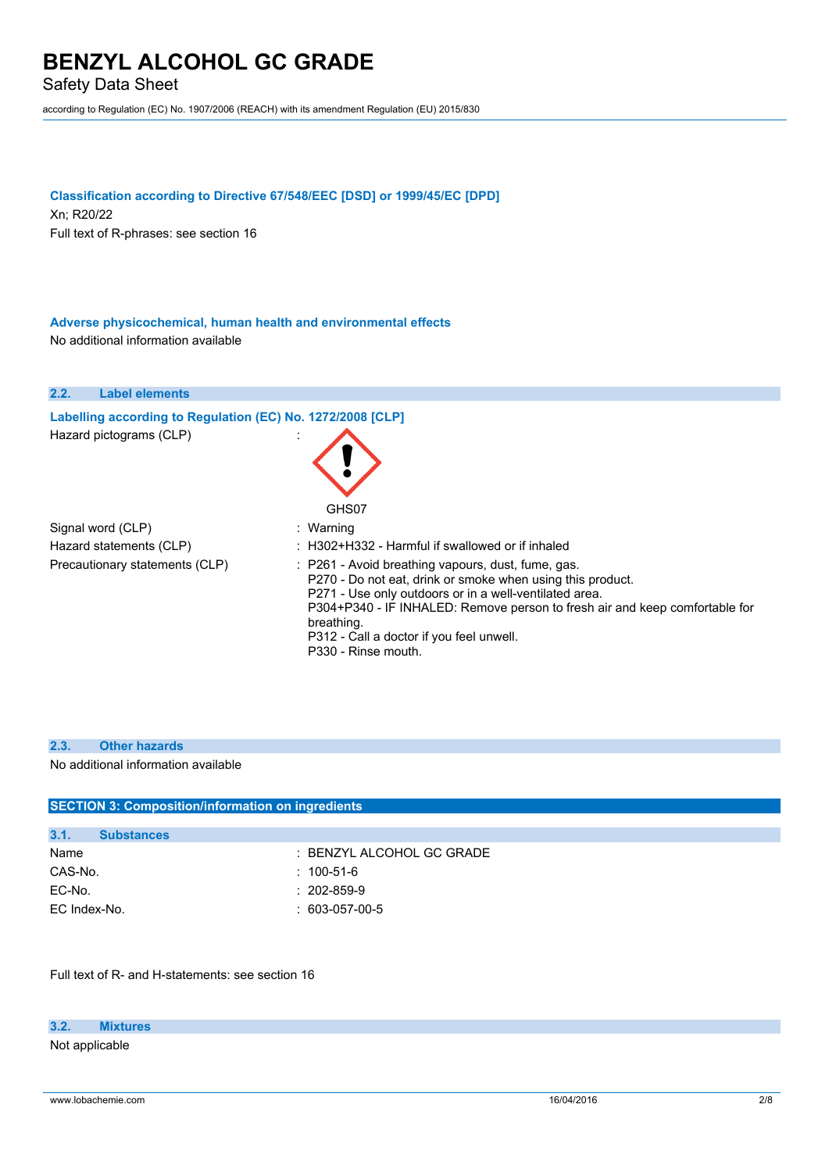Safety Data Sheet

according to Regulation (EC) No. 1907/2006 (REACH) with its amendment Regulation (EU) 2015/830

### **Classification according to Directive 67/548/EEC [DSD] or 1999/45/EC [DPD]**

Xn; R20/22 Full text of R-phrases: see section 16

**Adverse physicochemical, human health and environmental effects** No additional information available



#### **2.3. Other hazards**

No additional information available

|              | <b>SECTION 3: Composition/information on ingredients</b> |                           |  |
|--------------|----------------------------------------------------------|---------------------------|--|
|              |                                                          |                           |  |
| 3.1.         | <b>Substances</b>                                        |                           |  |
| Name         |                                                          | : BENZYL ALCOHOL GC GRADE |  |
| CAS-No.      |                                                          | $: 100 - 51 - 6$          |  |
| EC-No.       |                                                          | $: 202 - 859 - 9$         |  |
| EC Index-No. |                                                          | $: 603-057-00-5$          |  |
|              |                                                          |                           |  |

Full text of R- and H-statements: see section 16

## **3.2. Mixtures**

Not applicable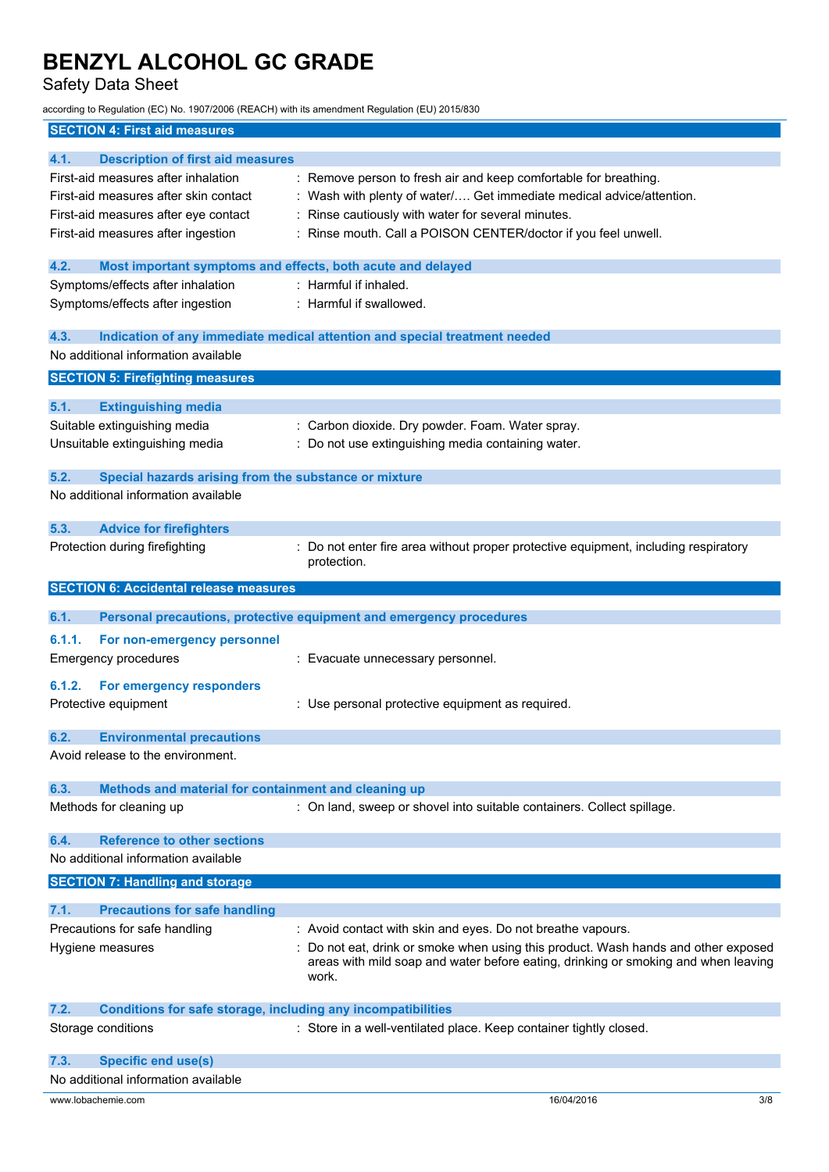Safety Data Sheet

according to Regulation (EC) No. 1907/2006 (REACH) with its amendment Regulation (EU) 2015/830

## **SECTION 4: First aid measures**

| <b>Description of first aid measures</b><br>4.1.                            |                                                                                    |     |
|-----------------------------------------------------------------------------|------------------------------------------------------------------------------------|-----|
| First-aid measures after inhalation                                         | : Remove person to fresh air and keep comfortable for breathing.                   |     |
| First-aid measures after skin contact                                       | : Wash with plenty of water/ Get immediate medical advice/attention.               |     |
| First-aid measures after eye contact                                        | : Rinse cautiously with water for several minutes.                                 |     |
| First-aid measures after ingestion                                          | : Rinse mouth. Call a POISON CENTER/doctor if you feel unwell.                     |     |
|                                                                             |                                                                                    |     |
| 4.2.<br>Most important symptoms and effects, both acute and delayed         |                                                                                    |     |
| Symptoms/effects after inhalation                                           | : Harmful if inhaled.                                                              |     |
| Symptoms/effects after ingestion                                            | : Harmful if swallowed.                                                            |     |
|                                                                             |                                                                                    |     |
| 4.3.                                                                        | Indication of any immediate medical attention and special treatment needed         |     |
| No additional information available                                         |                                                                                    |     |
| <b>SECTION 5: Firefighting measures</b>                                     |                                                                                    |     |
| 5.1.                                                                        |                                                                                    |     |
| <b>Extinguishing media</b>                                                  |                                                                                    |     |
| Suitable extinguishing media                                                | : Carbon dioxide. Dry powder. Foam. Water spray.                                   |     |
| Unsuitable extinguishing media                                              | : Do not use extinguishing media containing water.                                 |     |
| Special hazards arising from the substance or mixture<br>5.2.               |                                                                                    |     |
| No additional information available                                         |                                                                                    |     |
|                                                                             |                                                                                    |     |
| 5.3.<br><b>Advice for firefighters</b>                                      |                                                                                    |     |
| Protection during firefighting                                              | Do not enter fire area without proper protective equipment, including respiratory  |     |
|                                                                             | protection.                                                                        |     |
|                                                                             |                                                                                    |     |
| <b>SECTION 6: Accidental release measures</b>                               |                                                                                    |     |
| 6.1.                                                                        | Personal precautions, protective equipment and emergency procedures                |     |
| 6.1.1.<br>For non-emergency personnel                                       |                                                                                    |     |
| <b>Emergency procedures</b>                                                 | : Evacuate unnecessary personnel.                                                  |     |
|                                                                             |                                                                                    |     |
| 6.1.2.<br>For emergency responders                                          |                                                                                    |     |
| Protective equipment                                                        | : Use personal protective equipment as required.                                   |     |
|                                                                             |                                                                                    |     |
| <b>Environmental precautions</b><br>6.2.                                    |                                                                                    |     |
| Avoid release to the environment.                                           |                                                                                    |     |
| Methods and material for containment and cleaning up<br>6.3.                |                                                                                    |     |
|                                                                             |                                                                                    |     |
| Methods for cleaning up                                                     | : On land, sweep or shovel into suitable containers. Collect spillage.             |     |
| <b>Reference to other sections</b><br>6.4.                                  |                                                                                    |     |
| No additional information available                                         |                                                                                    |     |
|                                                                             |                                                                                    |     |
| <b>SECTION 7: Handling and storage</b>                                      |                                                                                    |     |
| 7.1.<br><b>Precautions for safe handling</b>                                |                                                                                    |     |
| Precautions for safe handling                                               | : Avoid contact with skin and eyes. Do not breathe vapours.                        |     |
| Hygiene measures                                                            | Do not eat, drink or smoke when using this product. Wash hands and other exposed   |     |
|                                                                             | areas with mild soap and water before eating, drinking or smoking and when leaving |     |
|                                                                             | work.                                                                              |     |
|                                                                             |                                                                                    |     |
| 7.2.<br><b>Conditions for safe storage, including any incompatibilities</b> |                                                                                    |     |
| Storage conditions                                                          | : Store in a well-ventilated place. Keep container tightly closed.                 |     |
| 7.3.                                                                        |                                                                                    |     |
| <b>Specific end use(s)</b><br>No additional information available           |                                                                                    |     |
|                                                                             |                                                                                    |     |
| www.lobachemie.com                                                          | 16/04/2016                                                                         | 3/8 |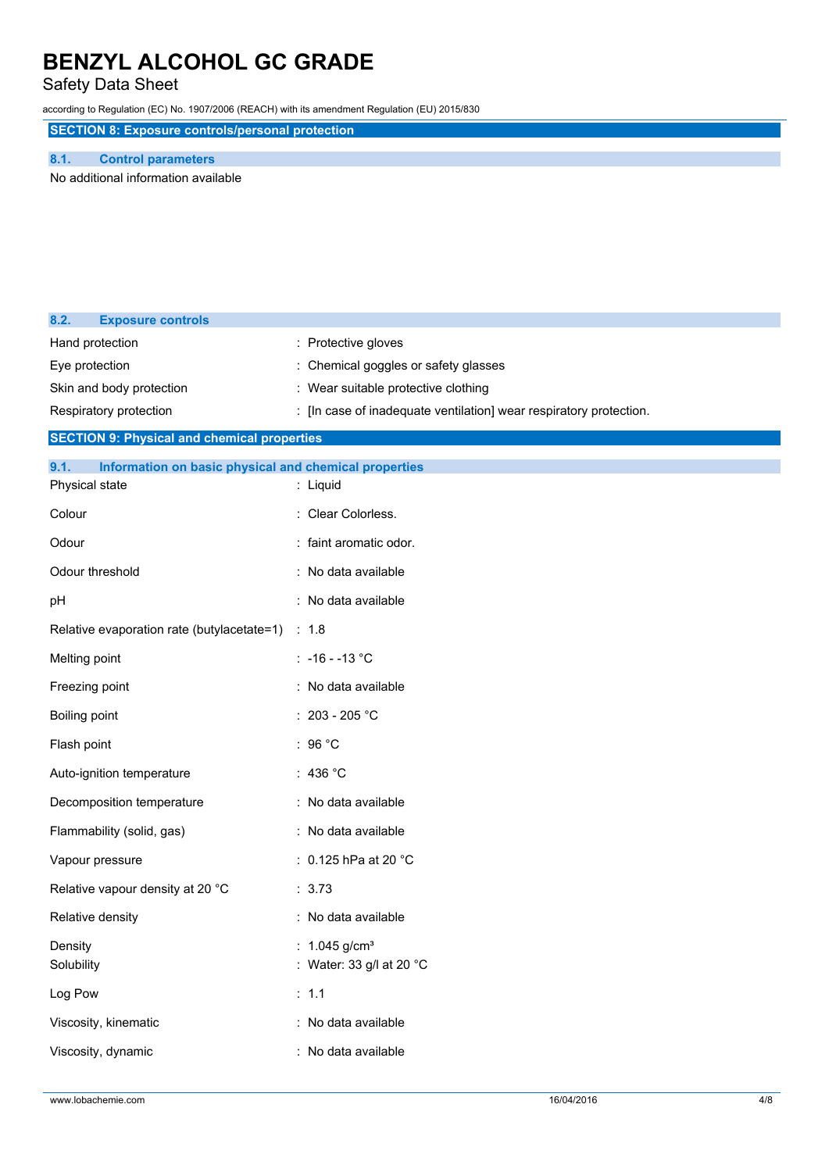## Safety Data Sheet

according to Regulation (EC) No. 1907/2006 (REACH) with its amendment Regulation (EU) 2015/830

**SECTION 8: Exposure controls/personal protection**

### **8.1. Control parameters**

No additional information available

| 8.2.<br><b>Exposure controls</b>                              |                                                                    |
|---------------------------------------------------------------|--------------------------------------------------------------------|
| Hand protection                                               | : Protective gloves                                                |
| Eye protection                                                | Chemical goggles or safety glasses                                 |
| Skin and body protection                                      | : Wear suitable protective clothing                                |
| Respiratory protection                                        | : [In case of inadequate ventilation] wear respiratory protection. |
| <b>SECTION 9: Physical and chemical properties</b>            |                                                                    |
| Information on basic physical and chemical properties<br>9.1. |                                                                    |
| Physical state                                                | : Liquid                                                           |
| Colour                                                        | : Clear Colorless.                                                 |
| Odour                                                         | : faint aromatic odor.                                             |
| Odour threshold                                               | : No data available                                                |
| pH                                                            | : No data available                                                |
| Relative evaporation rate (butylacetate=1)                    | : 1.8                                                              |
| Melting point                                                 | : $-16 - -13$ °C                                                   |
| Freezing point                                                | : No data available                                                |
| Boiling point                                                 | : 203 - 205 °C                                                     |
| Flash point                                                   | : 96 $^{\circ}$ C                                                  |
| Auto-ignition temperature                                     | : 436 $^{\circ}$ C                                                 |
| Decomposition temperature                                     | : No data available                                                |
| Flammability (solid, gas)                                     | : No data available                                                |
| Vapour pressure                                               | : 0.125 hPa at 20 $^{\circ}$ C                                     |
| Relative vapour density at 20 °C                              | : 3.73                                                             |
| Relative density                                              | : No data available                                                |
| Density<br>Solubility                                         | : $1.045$ g/cm <sup>3</sup><br>: Water: 33 g/l at 20 °C            |
| Log Pow                                                       | : 1.1                                                              |
| Viscosity, kinematic                                          | : No data available                                                |
| Viscosity, dynamic                                            | : No data available                                                |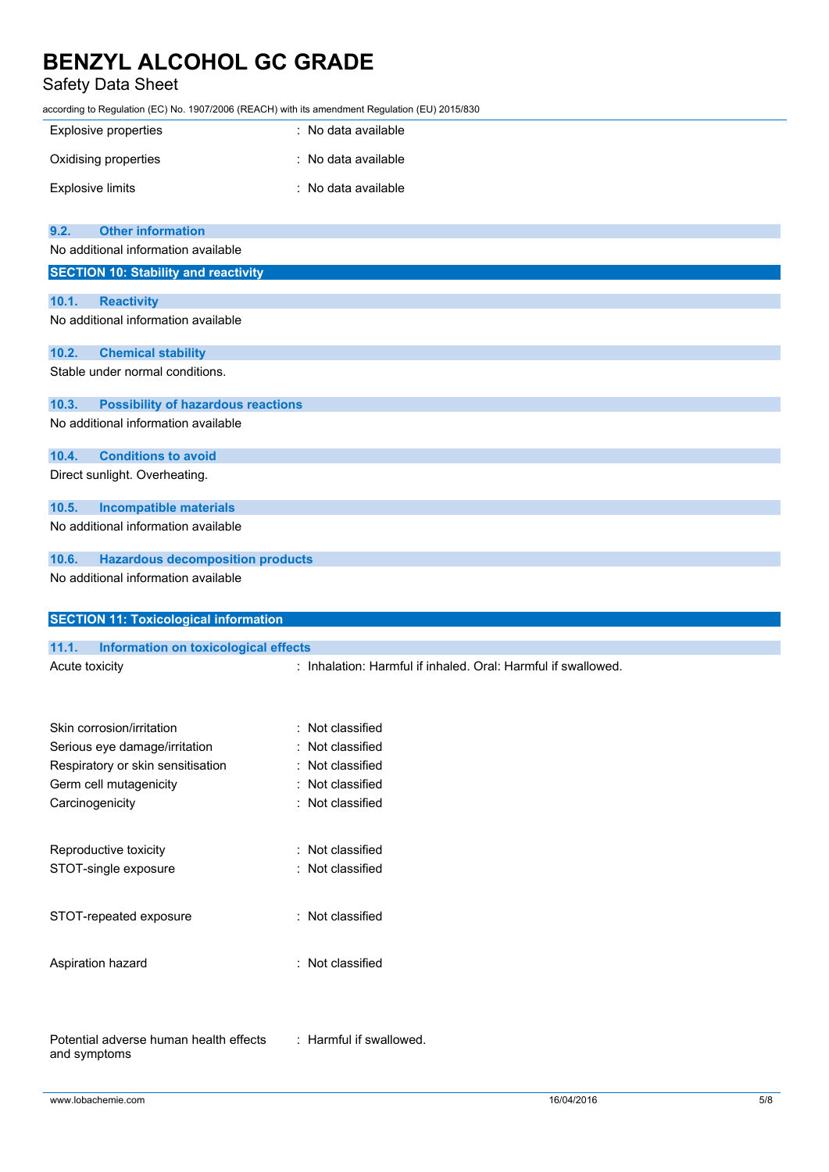# Safety Data Sheet

according to Regulation (EC) No. 1907/2006 (REACH) with its amendment Regulation (EU) 2015/830

| <b>Explosive properties</b>                          | : No data available                                           |
|------------------------------------------------------|---------------------------------------------------------------|
| Oxidising properties                                 | : No data available                                           |
| <b>Explosive limits</b>                              | : No data available                                           |
| <b>Other information</b><br>9.2.                     |                                                               |
| No additional information available                  |                                                               |
| <b>SECTION 10: Stability and reactivity</b>          |                                                               |
|                                                      |                                                               |
| 10.1.<br><b>Reactivity</b>                           |                                                               |
| No additional information available                  |                                                               |
| <b>Chemical stability</b><br>10.2.                   |                                                               |
| Stable under normal conditions.                      |                                                               |
| 10.3.<br><b>Possibility of hazardous reactions</b>   |                                                               |
| No additional information available                  |                                                               |
| <b>Conditions to avoid</b><br>10.4.                  |                                                               |
| Direct sunlight. Overheating.                        |                                                               |
| 10.5.<br><b>Incompatible materials</b>               |                                                               |
| No additional information available                  |                                                               |
| <b>Hazardous decomposition products</b><br>10.6.     |                                                               |
| No additional information available                  |                                                               |
| <b>SECTION 11: Toxicological information</b>         |                                                               |
| <b>Information on toxicological effects</b><br>11.1. |                                                               |
| Acute toxicity                                       | : Inhalation: Harmful if inhaled. Oral: Harmful if swallowed. |
|                                                      |                                                               |

| Skin corrosion/irritation         | $\colon$ Not classified |
|-----------------------------------|-------------------------|
| Serious eye damage/irritation     | : Not classified        |
| Respiratory or skin sensitisation | : Not classified        |
| Germ cell mutagenicity            | : Not classified        |
| Carcinogenicity                   | $\colon$ Not classified |
| Reproductive toxicity             | : Not classified        |
| STOT-single exposure              | : Not classified        |
| STOT-repeated exposure            | $\colon$ Not classified |
| Aspiration hazard                 | : Not classified        |

: Harmful if swallowed.

Potential adverse human health effects and symptoms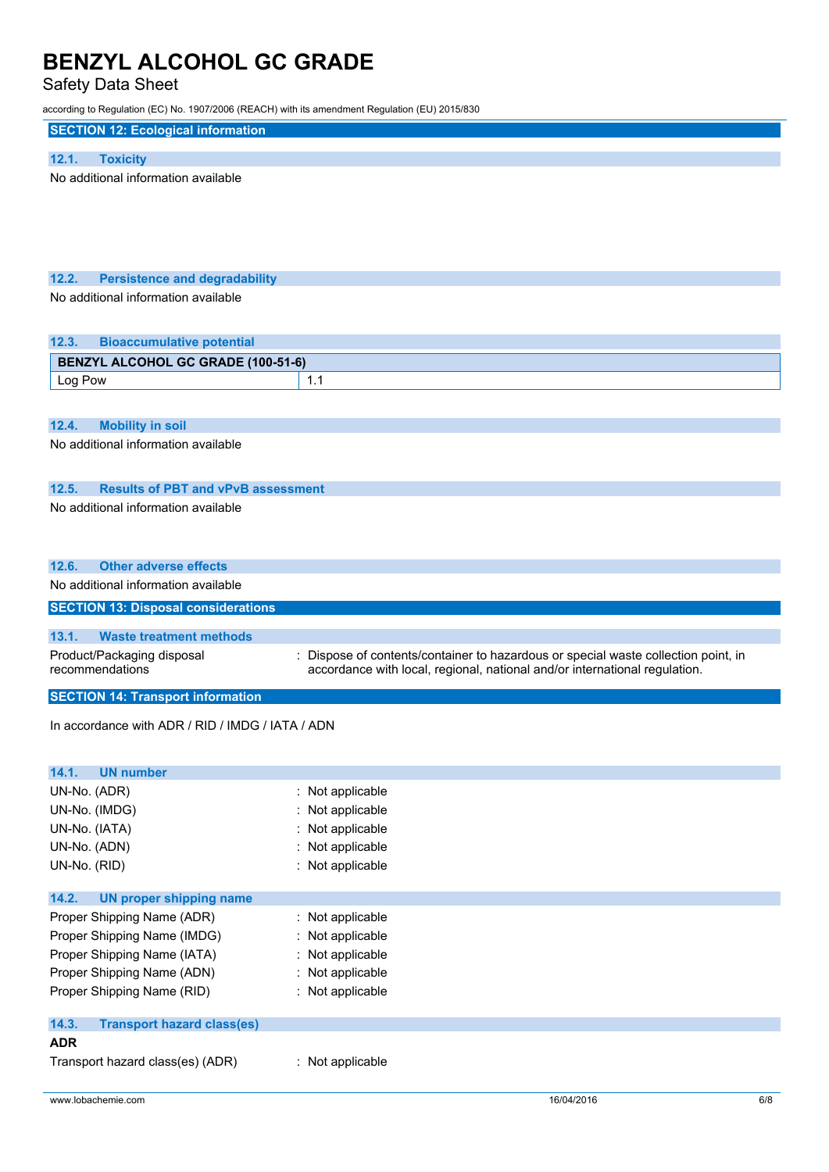# Safety Data Sheet

| according to Regulation (EC) No. 1907/2006 (REACH) with its amendment Regulation (EU) 2015/830 |                                                                                                                                                                  |
|------------------------------------------------------------------------------------------------|------------------------------------------------------------------------------------------------------------------------------------------------------------------|
| <b>SECTION 12: Ecological information</b>                                                      |                                                                                                                                                                  |
| 12.1.<br><b>Toxicity</b>                                                                       |                                                                                                                                                                  |
| No additional information available                                                            |                                                                                                                                                                  |
|                                                                                                |                                                                                                                                                                  |
|                                                                                                |                                                                                                                                                                  |
|                                                                                                |                                                                                                                                                                  |
|                                                                                                |                                                                                                                                                                  |
| 12.2.<br><b>Persistence and degradability</b>                                                  |                                                                                                                                                                  |
| No additional information available                                                            |                                                                                                                                                                  |
|                                                                                                |                                                                                                                                                                  |
|                                                                                                |                                                                                                                                                                  |
| 12.3.<br><b>Bioaccumulative potential</b>                                                      |                                                                                                                                                                  |
| <b>BENZYL ALCOHOL GC GRADE (100-51-6)</b>                                                      |                                                                                                                                                                  |
| Log Pow                                                                                        | 1.1                                                                                                                                                              |
|                                                                                                |                                                                                                                                                                  |
| 12.4.<br><b>Mobility in soil</b>                                                               |                                                                                                                                                                  |
| No additional information available                                                            |                                                                                                                                                                  |
|                                                                                                |                                                                                                                                                                  |
| <b>Results of PBT and vPvB assessment</b><br>12.5.                                             |                                                                                                                                                                  |
| No additional information available                                                            |                                                                                                                                                                  |
|                                                                                                |                                                                                                                                                                  |
|                                                                                                |                                                                                                                                                                  |
| <b>Other adverse effects</b><br>12.6.                                                          |                                                                                                                                                                  |
| No additional information available                                                            |                                                                                                                                                                  |
|                                                                                                |                                                                                                                                                                  |
| <b>SECTION 13: Disposal considerations</b>                                                     |                                                                                                                                                                  |
|                                                                                                |                                                                                                                                                                  |
| 13.1.<br><b>Waste treatment methods</b>                                                        |                                                                                                                                                                  |
| Product/Packaging disposal<br>recommendations                                                  | : Dispose of contents/container to hazardous or special waste collection point, in<br>accordance with local, regional, national and/or international regulation. |
|                                                                                                |                                                                                                                                                                  |
| <b>SECTION 14: Transport information</b>                                                       |                                                                                                                                                                  |
| In accordance with ADR / RID / IMDG / IATA / ADN                                               |                                                                                                                                                                  |
|                                                                                                |                                                                                                                                                                  |
| <b>UN number</b>                                                                               |                                                                                                                                                                  |
| 14.1.                                                                                          |                                                                                                                                                                  |
| UN-No. (ADR)<br>UN-No. (IMDG)                                                                  | : Not applicable<br>: Not applicable                                                                                                                             |
| UN-No. (IATA)                                                                                  | Not applicable                                                                                                                                                   |
| UN-No. (ADN)                                                                                   | Not applicable                                                                                                                                                   |
| UN-No. (RID)                                                                                   | : Not applicable                                                                                                                                                 |
|                                                                                                |                                                                                                                                                                  |
| 14.2.<br><b>UN proper shipping name</b>                                                        |                                                                                                                                                                  |
| Proper Shipping Name (ADR)                                                                     | : Not applicable                                                                                                                                                 |
| Proper Shipping Name (IMDG)                                                                    | Not applicable                                                                                                                                                   |
| Proper Shipping Name (IATA)                                                                    | Not applicable                                                                                                                                                   |
| Proper Shipping Name (ADN)                                                                     | : Not applicable                                                                                                                                                 |
| Proper Shipping Name (RID)                                                                     | : Not applicable                                                                                                                                                 |
| 14.3.<br><b>Transport hazard class(es)</b>                                                     |                                                                                                                                                                  |
| <b>ADR</b>                                                                                     |                                                                                                                                                                  |

www.lobachemie.com 6/8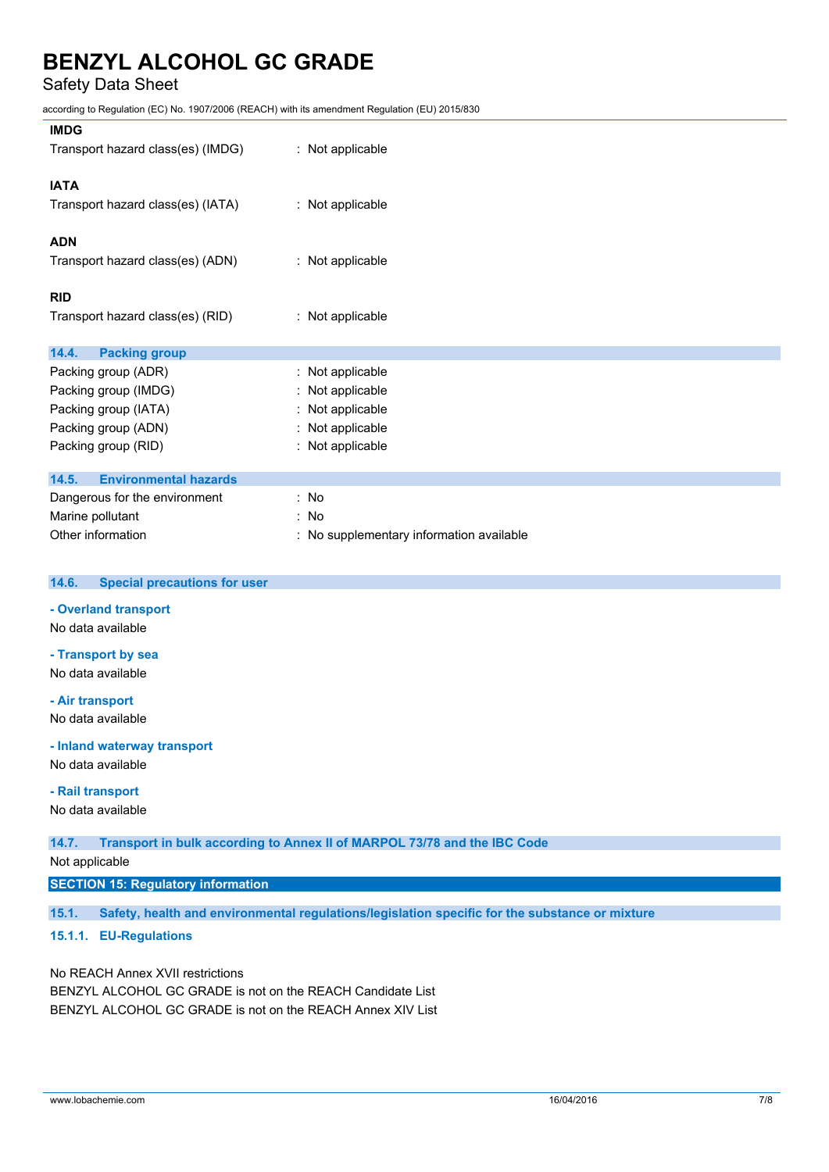Safety Data Sheet

according to Regulation (EC) No. 1907/2006 (REACH) with its amendment Regulation (EU) 2015/830

| <b>IMDG</b>                                  |                                          |
|----------------------------------------------|------------------------------------------|
| Transport hazard class(es) (IMDG)            | : Not applicable                         |
| <b>IATA</b>                                  |                                          |
| Transport hazard class(es) (IATA)            | : Not applicable                         |
| <b>ADN</b>                                   |                                          |
| Transport hazard class(es) (ADN)             | : Not applicable                         |
| <b>RID</b>                                   |                                          |
| Transport hazard class(es) (RID)             | : Not applicable                         |
| 14.4.<br><b>Packing group</b>                |                                          |
| Packing group (ADR)                          | : Not applicable                         |
| Packing group (IMDG)                         | : Not applicable                         |
| Packing group (IATA)                         | : Not applicable                         |
| Packing group (ADN)                          | : Not applicable                         |
| Packing group (RID)                          | : Not applicable                         |
| 14.5.<br><b>Environmental hazards</b>        |                                          |
| Dangerous for the environment                | : No                                     |
| Marine pollutant                             | : No                                     |
| Other information                            | : No supplementary information available |
| 14.6.<br><b>Special precautions for user</b> |                                          |

### **- Overland transport**

No data available

## **- Transport by sea**

No data available

## **- Air transport**

No data available

### **- Inland waterway transport**

No data available

### **- Rail transport**

No data available

**14.7. Transport in bulk according to Annex II of MARPOL 73/78 and the IBC Code**

Not applicable

### **SECTION 15: Regulatory information**

**15.1. Safety, health and environmental regulations/legislation specific for the substance or mixture**

## **15.1.1. EU-Regulations**

No REACH Annex XVII restrictions BENZYL ALCOHOL GC GRADE is not on the REACH Candidate List BENZYL ALCOHOL GC GRADE is not on the REACH Annex XIV List